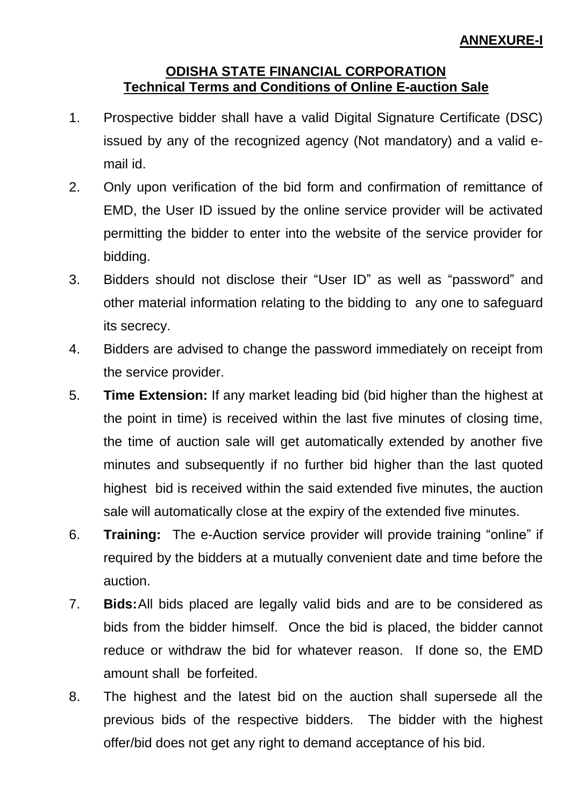## **ODISHA STATE FINANCIAL CORPORATION Technical Terms and Conditions of Online E-auction Sale**

- 1. Prospective bidder shall have a valid Digital Signature Certificate (DSC) issued by any of the recognized agency (Not mandatory) and a valid email id.
- 2. Only upon verification of the bid form and confirmation of remittance of EMD, the User ID issued by the online service provider will be activated permitting the bidder to enter into the website of the service provider for bidding.
- 3. Bidders should not disclose their "User ID" as well as "password" and other material information relating to the bidding to any one to safeguard its secrecy.
- 4. Bidders are advised to change the password immediately on receipt from the service provider.
- 5. **Time Extension:** If any market leading bid (bid higher than the highest at the point in time) is received within the last five minutes of closing time, the time of auction sale will get automatically extended by another five minutes and subsequently if no further bid higher than the last quoted highest bid is received within the said extended five minutes, the auction sale will automatically close at the expiry of the extended five minutes.
- 6. **Training:** The e-Auction service provider will provide training "online" if required by the bidders at a mutually convenient date and time before the auction.
- 7. **Bids:**All bids placed are legally valid bids and are to be considered as bids from the bidder himself. Once the bid is placed, the bidder cannot reduce or withdraw the bid for whatever reason. If done so, the EMD amount shall be forfeited.
- 8. The highest and the latest bid on the auction shall supersede all the previous bids of the respective bidders. The bidder with the highest offer/bid does not get any right to demand acceptance of his bid.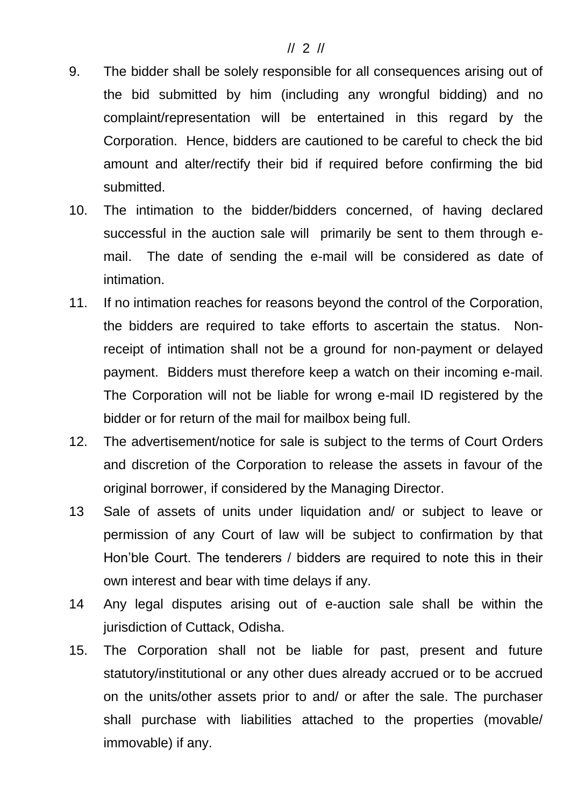#### // 2 //

- 9. The bidder shall be solely responsible for all consequences arising out of the bid submitted by him (including any wrongful bidding) and no complaint/representation will be entertained in this regard by the Corporation. Hence, bidders are cautioned to be careful to check the bid amount and alter/rectify their bid if required before confirming the bid submitted.
- 10. The intimation to the bidder/bidders concerned, of having declared successful in the auction sale will primarily be sent to them through email. The date of sending the e-mail will be considered as date of intimation.
- 11. If no intimation reaches for reasons beyond the control of the Corporation, the bidders are required to take efforts to ascertain the status. Nonreceipt of intimation shall not be a ground for non-payment or delayed payment. Bidders must therefore keep a watch on their incoming e-mail. The Corporation will not be liable for wrong e-mail ID registered by the bidder or for return of the mail for mailbox being full.
- 12. The advertisement/notice for sale is subject to the terms of Court Orders and discretion of the Corporation to release the assets in favour of the original borrower, if considered by the Managing Director.
- 13 Sale of assets of units under liquidation and/ or subject to leave or permission of any Court of law will be subject to confirmation by that Hon'ble Court. The tenderers / bidders are required to note this in their own interest and bear with time delays if any.
- 14 Any legal disputes arising out of e-auction sale shall be within the jurisdiction of Cuttack, Odisha.
- 15. The Corporation shall not be liable for past, present and future statutory/institutional or any other dues already accrued or to be accrued on the units/other assets prior to and/ or after the sale. The purchaser shall purchase with liabilities attached to the properties (movable/ immovable) if any.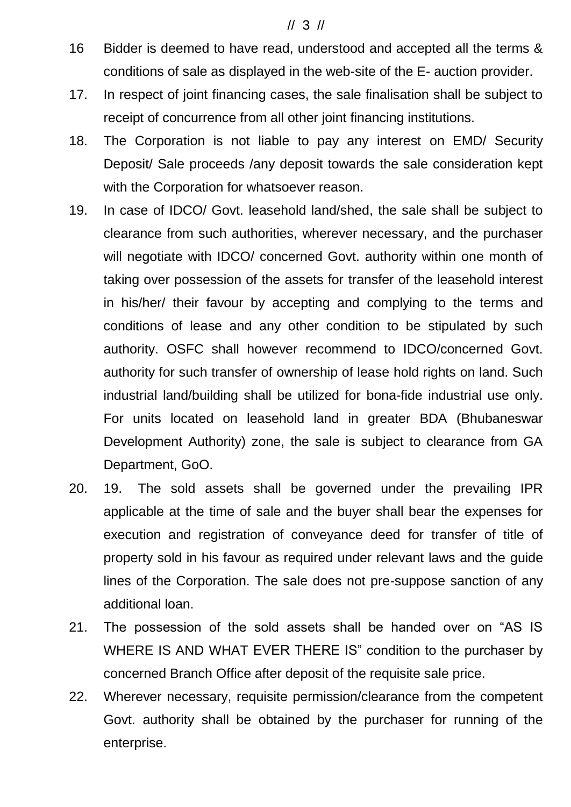#### // 3 //

- 16 Bidder is deemed to have read, understood and accepted all the terms & conditions of sale as displayed in the web-site of the E- auction provider.
- 17. In respect of joint financing cases, the sale finalisation shall be subject to receipt of concurrence from all other joint financing institutions.
- 18. The Corporation is not liable to pay any interest on EMD/ Security Deposit/ Sale proceeds /any deposit towards the sale consideration kept with the Corporation for whatsoever reason.
- 19. In case of IDCO/ Govt. leasehold land/shed, the sale shall be subject to clearance from such authorities, wherever necessary, and the purchaser will negotiate with IDCO/ concerned Govt. authority within one month of taking over possession of the assets for transfer of the leasehold interest in his/her/ their favour by accepting and complying to the terms and conditions of lease and any other condition to be stipulated by such authority. OSFC shall however recommend to IDCO/concerned Govt. authority for such transfer of ownership of lease hold rights on land. Such industrial land/building shall be utilized for bona-fide industrial use only. For units located on leasehold land in greater BDA (Bhubaneswar Development Authority) zone, the sale is subject to clearance from GA Department, GoO.
- 20. 19. The sold assets shall be governed under the prevailing IPR applicable at the time of sale and the buyer shall bear the expenses for execution and registration of conveyance deed for transfer of title of property sold in his favour as required under relevant laws and the guide lines of the Corporation. The sale does not pre-suppose sanction of any additional loan.
- 21. The possession of the sold assets shall be handed over on "AS IS WHERE IS AND WHAT EVER THERE IS" condition to the purchaser by concerned Branch Office after deposit of the requisite sale price.
- 22. Wherever necessary, requisite permission/clearance from the competent Govt. authority shall be obtained by the purchaser for running of the enterprise.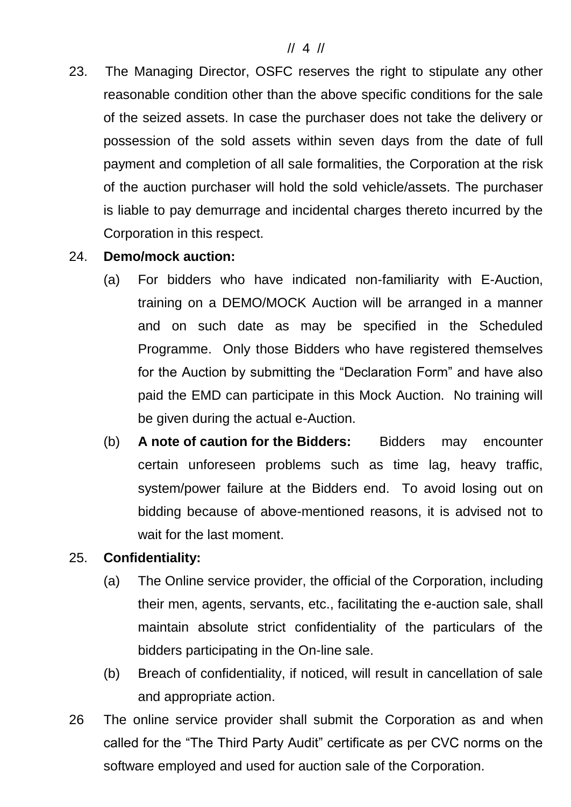### // 4 //

- 23. The Managing Director, OSFC reserves the right to stipulate any other reasonable condition other than the above specific conditions for the sale of the seized assets. In case the purchaser does not take the delivery or possession of the sold assets within seven days from the date of full payment and completion of all sale formalities, the Corporation at the risk of the auction purchaser will hold the sold vehicle/assets. The purchaser is liable to pay demurrage and incidental charges thereto incurred by the Corporation in this respect.
- 24. **Demo/mock auction:**
	- (a) For bidders who have indicated non-familiarity with E-Auction, training on a DEMO/MOCK Auction will be arranged in a manner and on such date as may be specified in the Scheduled Programme. Only those Bidders who have registered themselves for the Auction by submitting the "Declaration Form" and have also paid the EMD can participate in this Mock Auction. No training will be given during the actual e-Auction.
	- (b) **A note of caution for the Bidders:** Bidders may encounter certain unforeseen problems such as time lag, heavy traffic, system/power failure at the Bidders end. To avoid losing out on bidding because of above-mentioned reasons, it is advised not to wait for the last moment.

### 25. **Confidentiality:**

- (a) The Online service provider, the official of the Corporation, including their men, agents, servants, etc., facilitating the e-auction sale, shall maintain absolute strict confidentiality of the particulars of the bidders participating in the On-line sale.
- (b) Breach of confidentiality, if noticed, will result in cancellation of sale and appropriate action.
- 26 The online service provider shall submit the Corporation as and when called for the "The Third Party Audit" certificate as per CVC norms on the software employed and used for auction sale of the Corporation.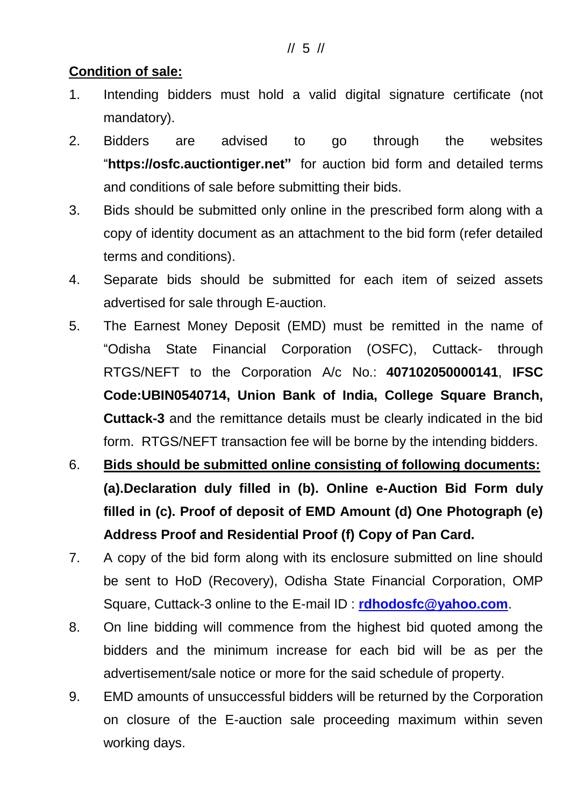# **Condition of sale:**

- 1. Intending bidders must hold a valid digital signature certificate (not mandatory).
- 2. Bidders are advised to go through the websites "**https://osfc.auctiontiger.net"** for auction bid form and detailed terms and conditions of sale before submitting their bids.
- 3. Bids should be submitted only online in the prescribed form along with a copy of identity document as an attachment to the bid form (refer detailed terms and conditions).
- 4. Separate bids should be submitted for each item of seized assets advertised for sale through E-auction.
- 5. The Earnest Money Deposit (EMD) must be remitted in the name of "Odisha State Financial Corporation (OSFC), Cuttack- through RTGS/NEFT to the Corporation A/c No.: **407102050000141**, **IFSC Code:UBIN0540714, Union Bank of India, College Square Branch, Cuttack-3** and the remittance details must be clearly indicated in the bid form. RTGS/NEFT transaction fee will be borne by the intending bidders.
- 6. **Bids should be submitted online consisting of following documents: (a).Declaration duly filled in (b). Online e-Auction Bid Form duly filled in (c). Proof of deposit of EMD Amount (d) One Photograph (e) Address Proof and Residential Proof (f) Copy of Pan Card.**
- 7. A copy of the bid form along with its enclosure submitted on line should be sent to HoD (Recovery), Odisha State Financial Corporation, OMP Square, Cuttack-3 online to the E-mail ID : **[rdhodosfc@yahoo.com](mailto:rdhodosfc@yahoo.com)**.
- 8. On line bidding will commence from the highest bid quoted among the bidders and the minimum increase for each bid will be as per the advertisement/sale notice or more for the said schedule of property.
- 9. EMD amounts of unsuccessful bidders will be returned by the Corporation on closure of the E-auction sale proceeding maximum within seven working days.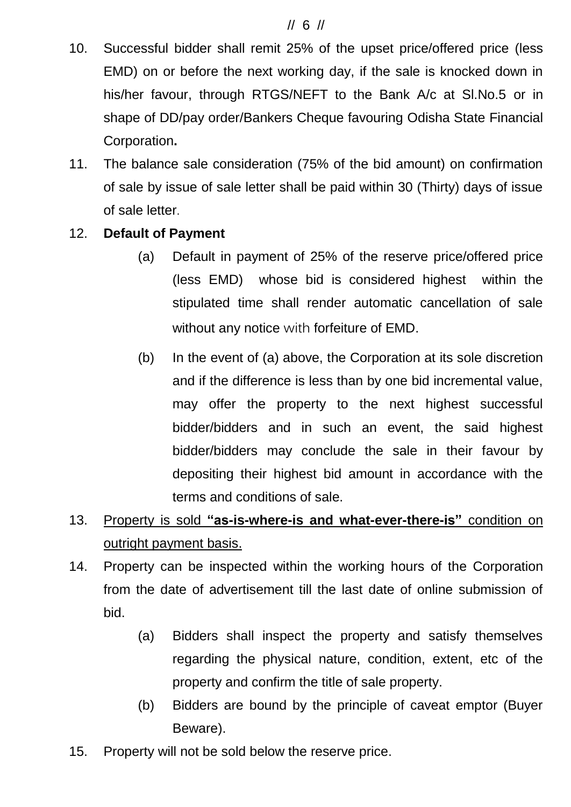## // 6 //

- 10. Successful bidder shall remit 25% of the upset price/offered price (less EMD) on or before the next working day, if the sale is knocked down in his/her favour, through RTGS/NEFT to the Bank A/c at Sl.No.5 or in shape of DD/pay order/Bankers Cheque favouring Odisha State Financial Corporation**.**
- 11. The balance sale consideration (75% of the bid amount) on confirmation of sale by issue of sale letter shall be paid within 30 (Thirty) days of issue of sale letter.

# 12. **Default of Payment**

- (a) Default in payment of 25% of the reserve price/offered price (less EMD) whose bid is considered highest within the stipulated time shall render automatic cancellation of sale without any notice with forfeiture of EMD.
- (b) In the event of (a) above, the Corporation at its sole discretion and if the difference is less than by one bid incremental value, may offer the property to the next highest successful bidder/bidders and in such an event, the said highest bidder/bidders may conclude the sale in their favour by depositing their highest bid amount in accordance with the terms and conditions of sale.
- 13. Property is sold **"as-is-where-is and what-ever-there-is"** condition on outright payment basis.
- 14. Property can be inspected within the working hours of the Corporation from the date of advertisement till the last date of online submission of bid.
	- (a) Bidders shall inspect the property and satisfy themselves regarding the physical nature, condition, extent, etc of the property and confirm the title of sale property.
	- (b) Bidders are bound by the principle of caveat emptor (Buyer Beware).
- 15. Property will not be sold below the reserve price.